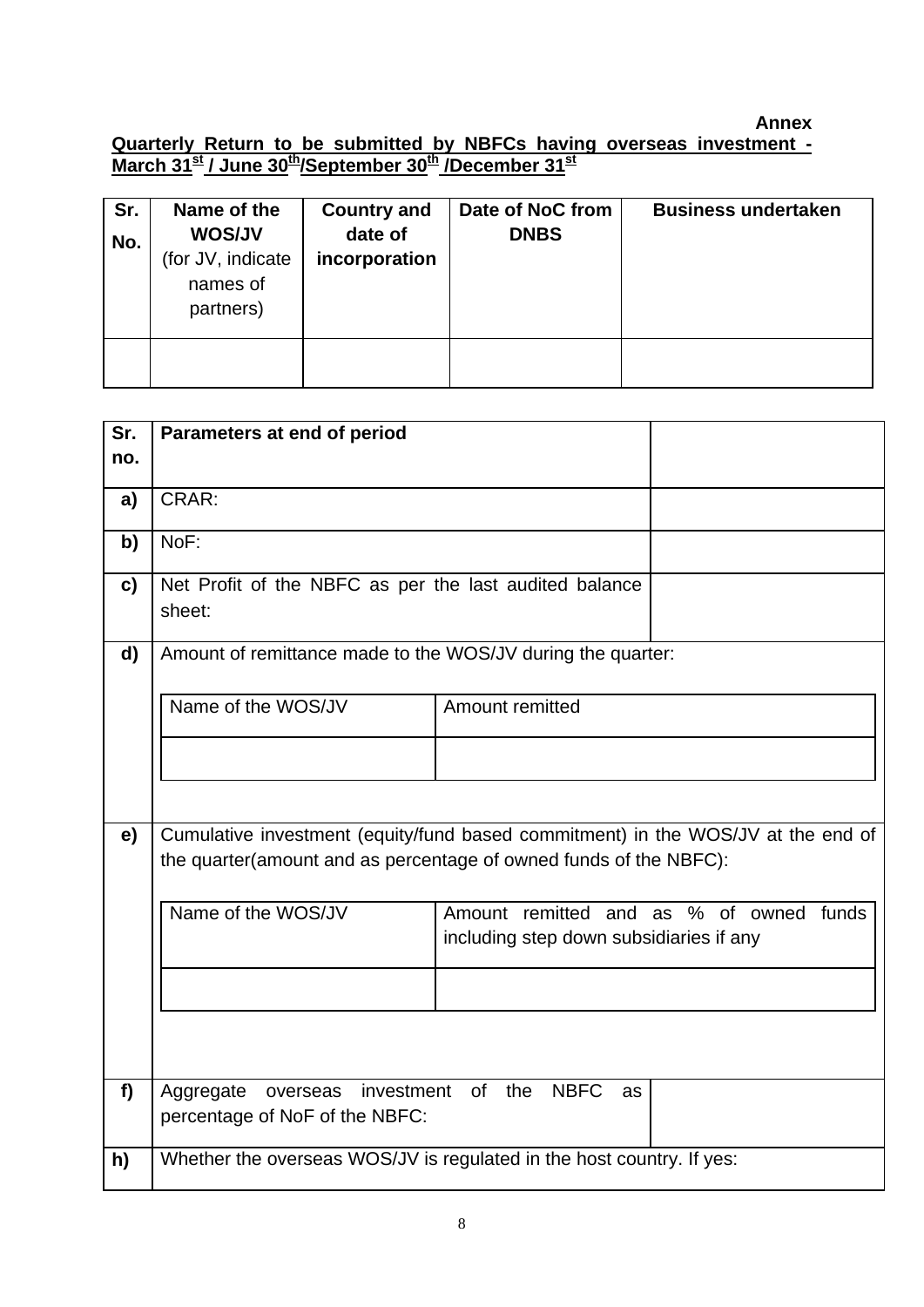## **Annex**

**Quarterly Return to be submitted by NBFCs having overseas investment - March 31st / June 30th/September 30th /December 31st**

| Sr.<br>No. | Name of the<br><b>WOS/JV</b><br>(for JV, indicate<br>names of<br>partners) | <b>Country and</b><br>date of<br>incorporation | Date of NoC from<br><b>DNBS</b> | <b>Business undertaken</b> |
|------------|----------------------------------------------------------------------------|------------------------------------------------|---------------------------------|----------------------------|
|            |                                                                            |                                                |                                 |                            |

| Sr. | Parameters at end of period                                                      |                                                             |                                  |  |  |  |  |
|-----|----------------------------------------------------------------------------------|-------------------------------------------------------------|----------------------------------|--|--|--|--|
| no. |                                                                                  |                                                             |                                  |  |  |  |  |
|     | CRAR:                                                                            |                                                             |                                  |  |  |  |  |
| a)  |                                                                                  |                                                             |                                  |  |  |  |  |
| b)  | NoF:                                                                             |                                                             |                                  |  |  |  |  |
| c)  | Net Profit of the NBFC as per the last audited balance<br>sheet:                 |                                                             |                                  |  |  |  |  |
| d)  |                                                                                  | Amount of remittance made to the WOS/JV during the quarter: |                                  |  |  |  |  |
|     | Name of the WOS/JV                                                               | Amount remitted                                             |                                  |  |  |  |  |
|     |                                                                                  |                                                             |                                  |  |  |  |  |
|     |                                                                                  |                                                             |                                  |  |  |  |  |
| e)  | Cumulative investment (equity/fund based commitment) in the WOS/JV at the end of |                                                             |                                  |  |  |  |  |
|     | the quarter(amount and as percentage of owned funds of the NBFC):                |                                                             |                                  |  |  |  |  |
|     | Name of the WOS/JV                                                               | Amount                                                      | remitted and as % of owned funds |  |  |  |  |
|     |                                                                                  | including step down subsidiaries if any                     |                                  |  |  |  |  |
|     |                                                                                  |                                                             |                                  |  |  |  |  |
|     |                                                                                  |                                                             |                                  |  |  |  |  |
|     |                                                                                  |                                                             |                                  |  |  |  |  |
| f   | Aggregate<br>overseas                                                            | <b>NBFC</b><br>investment of<br>the<br>as                   |                                  |  |  |  |  |
|     | percentage of NoF of the NBFC:                                                   |                                                             |                                  |  |  |  |  |
| h)  | Whether the overseas WOS/JV is regulated in the host country. If yes:            |                                                             |                                  |  |  |  |  |